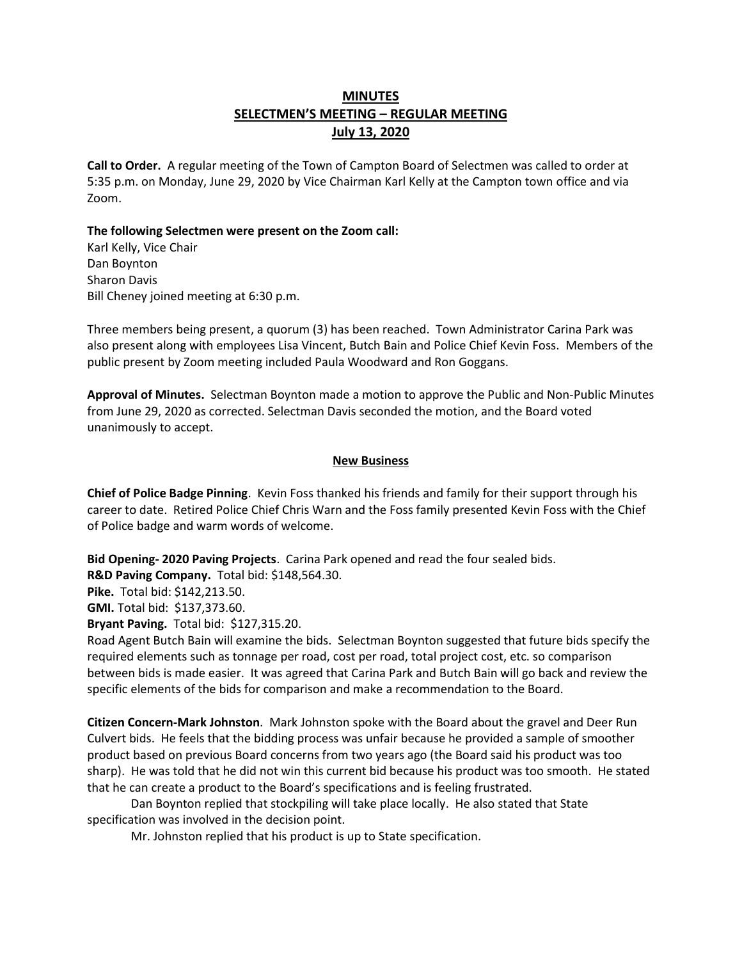# **MINUTES SELECTMEN'S MEETING – REGULAR MEETING July 13, 2020**

**Call to Order.** A regular meeting of the Town of Campton Board of Selectmen was called to order at 5:35 p.m. on Monday, June 29, 2020 by Vice Chairman Karl Kelly at the Campton town office and via Zoom.

#### **The following Selectmen were present on the Zoom call:**

Karl Kelly, Vice Chair Dan Boynton Sharon Davis Bill Cheney joined meeting at 6:30 p.m.

Three members being present, a quorum (3) has been reached. Town Administrator Carina Park was also present along with employees Lisa Vincent, Butch Bain and Police Chief Kevin Foss. Members of the public present by Zoom meeting included Paula Woodward and Ron Goggans.

**Approval of Minutes.** Selectman Boynton made a motion to approve the Public and Non-Public Minutes from June 29, 2020 as corrected. Selectman Davis seconded the motion, and the Board voted unanimously to accept.

#### **New Business**

**Chief of Police Badge Pinning**. Kevin Foss thanked his friends and family for their support through his career to date. Retired Police Chief Chris Warn and the Foss family presented Kevin Foss with the Chief of Police badge and warm words of welcome.

**Bid Opening- 2020 Paving Projects**. Carina Park opened and read the four sealed bids. **R&D Paving Company.** Total bid: \$148,564.30.

**Pike.** Total bid: \$142,213.50.

**GMI.** Total bid: \$137,373.60.

**Bryant Paving.** Total bid: \$127,315.20.

Road Agent Butch Bain will examine the bids. Selectman Boynton suggested that future bids specify the required elements such as tonnage per road, cost per road, total project cost, etc. so comparison between bids is made easier. It was agreed that Carina Park and Butch Bain will go back and review the specific elements of the bids for comparison and make a recommendation to the Board.

**Citizen Concern-Mark Johnston**. Mark Johnston spoke with the Board about the gravel and Deer Run Culvert bids. He feels that the bidding process was unfair because he provided a sample of smoother product based on previous Board concerns from two years ago (the Board said his product was too sharp). He was told that he did not win this current bid because his product was too smooth. He stated that he can create a product to the Board's specifications and is feeling frustrated.

Dan Boynton replied that stockpiling will take place locally. He also stated that State specification was involved in the decision point.

Mr. Johnston replied that his product is up to State specification.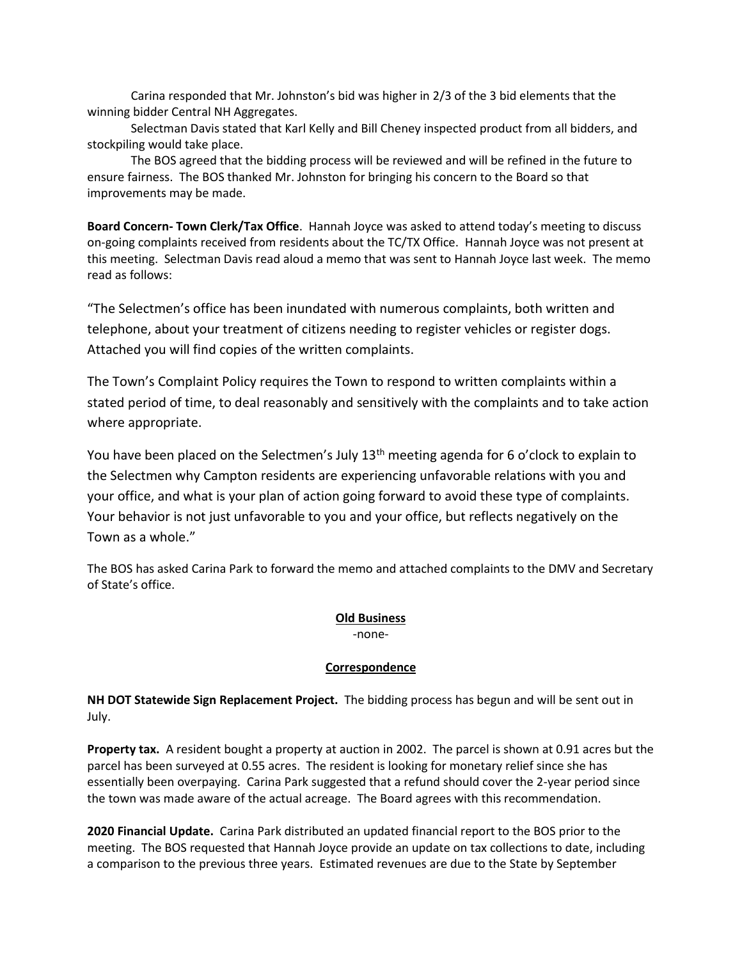Carina responded that Mr. Johnston's bid was higher in 2/3 of the 3 bid elements that the winning bidder Central NH Aggregates.

Selectman Davis stated that Karl Kelly and Bill Cheney inspected product from all bidders, and stockpiling would take place.

The BOS agreed that the bidding process will be reviewed and will be refined in the future to ensure fairness. The BOS thanked Mr. Johnston for bringing his concern to the Board so that improvements may be made.

**Board Concern- Town Clerk/Tax Office**. Hannah Joyce was asked to attend today's meeting to discuss on-going complaints received from residents about the TC/TX Office. Hannah Joyce was not present at this meeting. Selectman Davis read aloud a memo that was sent to Hannah Joyce last week. The memo read as follows:

"The Selectmen's office has been inundated with numerous complaints, both written and telephone, about your treatment of citizens needing to register vehicles or register dogs. Attached you will find copies of the written complaints.

The Town's Complaint Policy requires the Town to respond to written complaints within a stated period of time, to deal reasonably and sensitively with the complaints and to take action where appropriate.

You have been placed on the Selectmen's July 13<sup>th</sup> meeting agenda for 6 o'clock to explain to the Selectmen why Campton residents are experiencing unfavorable relations with you and your office, and what is your plan of action going forward to avoid these type of complaints. Your behavior is not just unfavorable to you and your office, but reflects negatively on the Town as a whole."

The BOS has asked Carina Park to forward the memo and attached complaints to the DMV and Secretary of State's office.

### **Old Business**

-none-

### **Correspondence**

**NH DOT Statewide Sign Replacement Project.** The bidding process has begun and will be sent out in July.

**Property tax.** A resident bought a property at auction in 2002. The parcel is shown at 0.91 acres but the parcel has been surveyed at 0.55 acres. The resident is looking for monetary relief since she has essentially been overpaying. Carina Park suggested that a refund should cover the 2-year period since the town was made aware of the actual acreage. The Board agrees with this recommendation.

**2020 Financial Update.** Carina Park distributed an updated financial report to the BOS prior to the meeting. The BOS requested that Hannah Joyce provide an update on tax collections to date, including a comparison to the previous three years. Estimated revenues are due to the State by September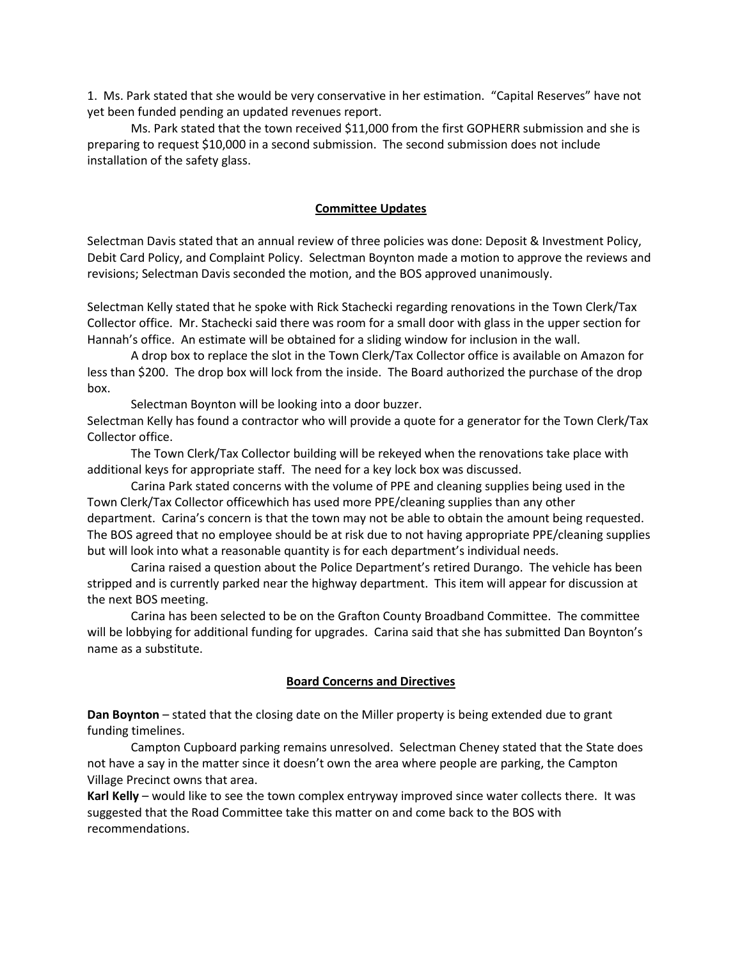1. Ms. Park stated that she would be very conservative in her estimation. "Capital Reserves" have not yet been funded pending an updated revenues report.

Ms. Park stated that the town received \$11,000 from the first GOPHERR submission and she is preparing to request \$10,000 in a second submission. The second submission does not include installation of the safety glass.

#### **Committee Updates**

Selectman Davis stated that an annual review of three policies was done: Deposit & Investment Policy, Debit Card Policy, and Complaint Policy. Selectman Boynton made a motion to approve the reviews and revisions; Selectman Davis seconded the motion, and the BOS approved unanimously.

Selectman Kelly stated that he spoke with Rick Stachecki regarding renovations in the Town Clerk/Tax Collector office. Mr. Stachecki said there was room for a small door with glass in the upper section for Hannah's office. An estimate will be obtained for a sliding window for inclusion in the wall.

A drop box to replace the slot in the Town Clerk/Tax Collector office is available on Amazon for less than \$200. The drop box will lock from the inside. The Board authorized the purchase of the drop box.

Selectman Boynton will be looking into a door buzzer.

Selectman Kelly has found a contractor who will provide a quote for a generator for the Town Clerk/Tax Collector office.

The Town Clerk/Tax Collector building will be rekeyed when the renovations take place with additional keys for appropriate staff. The need for a key lock box was discussed.

Carina Park stated concerns with the volume of PPE and cleaning supplies being used in the Town Clerk/Tax Collector officewhich has used more PPE/cleaning supplies than any other department. Carina's concern is that the town may not be able to obtain the amount being requested. The BOS agreed that no employee should be at risk due to not having appropriate PPE/cleaning supplies but will look into what a reasonable quantity is for each department's individual needs.

Carina raised a question about the Police Department's retired Durango. The vehicle has been stripped and is currently parked near the highway department. This item will appear for discussion at the next BOS meeting.

Carina has been selected to be on the Grafton County Broadband Committee. The committee will be lobbying for additional funding for upgrades. Carina said that she has submitted Dan Boynton's name as a substitute.

#### **Board Concerns and Directives**

**Dan Boynton** – stated that the closing date on the Miller property is being extended due to grant funding timelines.

Campton Cupboard parking remains unresolved. Selectman Cheney stated that the State does not have a say in the matter since it doesn't own the area where people are parking, the Campton Village Precinct owns that area.

**Karl Kelly** – would like to see the town complex entryway improved since water collects there. It was suggested that the Road Committee take this matter on and come back to the BOS with recommendations.